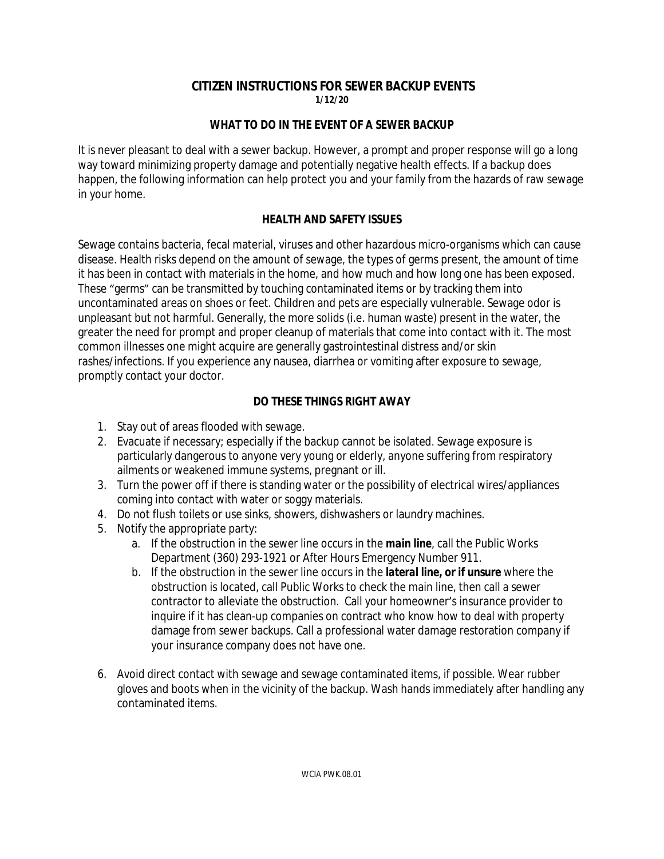# **CITIZEN INSTRUCTIONS FOR SEWER BACKUP EVENTS**

**1/12/20**

#### *WHAT TO DO IN THE EVENT OF A SEWER BACKUP*

It is never pleasant to deal with a sewer backup. However, a prompt and proper response will go a long way toward minimizing property damage and potentially negative health effects. If a backup does happen, the following information can help protect you and your family from the hazards of raw sewage in your home.

#### *HEALTH AND SAFETY ISSUES*

Sewage contains bacteria, fecal material, viruses and other hazardous micro-organisms which can cause disease. Health risks depend on the amount of sewage, the types of germs present, the amount of time it has been in contact with materials in the home, and how much and how long one has been exposed. These "germs" can be transmitted by touching contaminated items or by tracking them into uncontaminated areas on shoes or feet. Children and pets are especially vulnerable. Sewage odor is unpleasant but not harmful. Generally, the more solids (i.e. human waste) present in the water, the greater the need for prompt and proper cleanup of materials that come into contact with it. The most common illnesses one might acquire are generally gastrointestinal distress and/or skin rashes/infections. If you experience any nausea, diarrhea or vomiting after exposure to sewage, promptly contact your doctor.

### *DO THESE THINGS RIGHT AWAY*

- 1. Stay out of areas flooded with sewage.
- 2. Evacuate if necessary; especially if the backup cannot be isolated. Sewage exposure is particularly dangerous to anyone very young or elderly, anyone suffering from respiratory ailments or weakened immune systems, pregnant or ill.
- 3. Turn the power off if there is standing water or the possibility of electrical wires/appliances coming into contact with water or soggy materials.
- 4. Do not flush toilets or use sinks, showers, dishwashers or laundry machines.
- 5. Notify the appropriate party:
	- a. If the obstruction in the sewer line occurs in the *main line*, call the Public Works Department (360) 293-1921 or After Hours Emergency Number 911.
	- b. If the obstruction in the sewer line occurs in the *lateral line, or if unsure* where the obstruction is located, call Public Works to check the main line, then call a sewer contractor to alleviate the obstruction. Call your homeowner's insurance provider to inquire if it has clean-up companies on contract who know how to deal with property damage from sewer backups. Call a professional water damage restoration company if your insurance company does not have one.
- 6. Avoid direct contact with sewage and sewage contaminated items, if possible. Wear rubber gloves and boots when in the vicinity of the backup. Wash hands immediately after handling any contaminated items.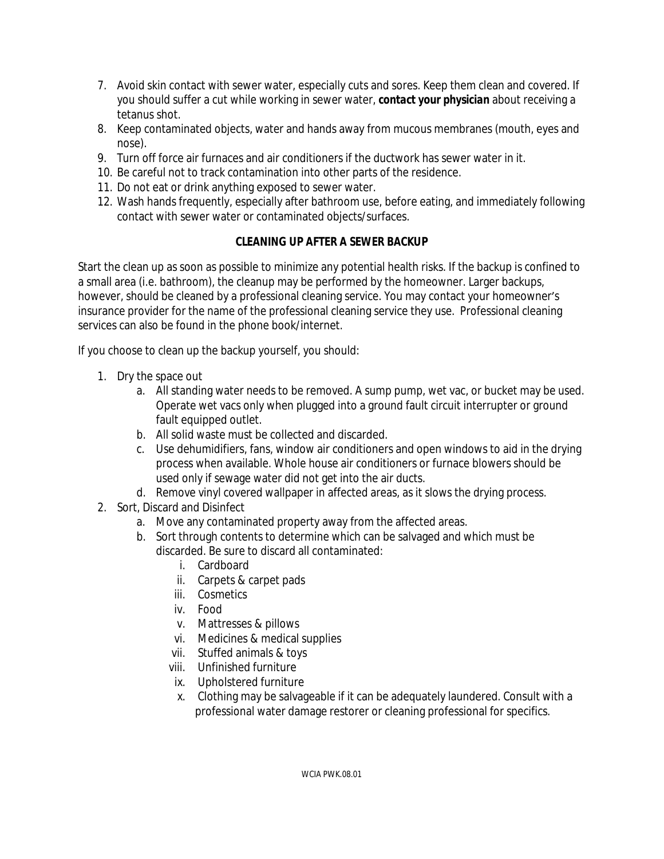- 7. Avoid skin contact with sewer water, especially cuts and sores. Keep them clean and covered. If you should suffer a cut while working in sewer water, *contact your physician* about receiving a tetanus shot.
- 8. Keep contaminated objects, water and hands away from mucous membranes (mouth, eyes and nose).
- 9. Turn off force air furnaces and air conditioners if the ductwork has sewer water in it.
- 10. Be careful not to track contamination into other parts of the residence.
- 11. Do not eat or drink anything exposed to sewer water.
- 12. Wash hands frequently, especially after bathroom use, before eating, and immediately following contact with sewer water or contaminated objects/surfaces.

## *CLEANING UP AFTER A SEWER BACKUP*

Start the clean up as soon as possible to minimize any potential health risks. If the backup is confined to a small area (i.e. bathroom), the cleanup may be performed by the homeowner. Larger backups, however, should be cleaned by a professional cleaning service. You may contact your homeowner's insurance provider for the name of the professional cleaning service they use. Professional cleaning services can also be found in the phone book/internet.

If you choose to clean up the backup yourself, you should:

- 1. Dry the space out
	- a. All standing water needs to be removed. A sump pump, wet vac, or bucket may be used. Operate wet vacs only when plugged into a ground fault circuit interrupter or ground fault equipped outlet.
	- b. All solid waste must be collected and discarded.
	- c. Use dehumidifiers, fans, window air conditioners and open windows to aid in the drying process when available. Whole house air conditioners or furnace blowers should be used only if sewage water did not get into the air ducts.
	- d. Remove vinyl covered wallpaper in affected areas, as it slows the drying process.
- 2. Sort, Discard and Disinfect
	- a. Move any contaminated property away from the affected areas.
	- b. Sort through contents to determine which can be salvaged and which must be discarded. Be sure to discard all contaminated:
		- i. Cardboard
		- ii. Carpets & carpet pads
		- iii. Cosmetics
		- iv. Food
		- v. Mattresses & pillows
		- vi. Medicines & medical supplies
		- vii. Stuffed animals & toys
		- viii. Unfinished furniture
		- ix. Upholstered furniture
		- x. Clothing may be salvageable if it can be adequately laundered. Consult with a professional water damage restorer or cleaning professional for specifics.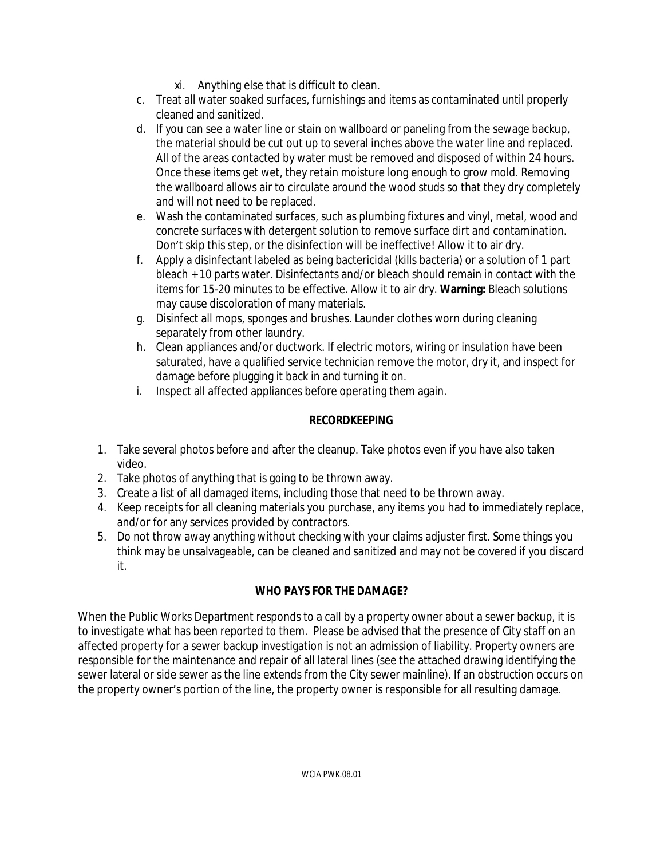- xi. Anything else that is difficult to clean.
- c. Treat all water soaked surfaces, furnishings and items as contaminated until properly cleaned and sanitized.
- d. If you can see a water line or stain on wallboard or paneling from the sewage backup, the material should be cut out up to several inches above the water line and replaced. All of the areas contacted by water must be removed and disposed of within 24 hours. Once these items get wet, they retain moisture long enough to grow mold. Removing the wallboard allows air to circulate around the wood studs so that they dry completely and will not need to be replaced.
- e. Wash the contaminated surfaces, such as plumbing fixtures and vinyl, metal, wood and concrete surfaces with detergent solution to remove surface dirt and contamination. Don't skip this step, or the disinfection will be ineffective! Allow it to air dry.
- f. Apply a disinfectant labeled as being bactericidal (kills bacteria) or a solution of 1 part bleach + 10 parts water. Disinfectants and/or bleach should remain in contact with the items for 15-20 minutes to be effective. Allow it to air dry. **Warning:** Bleach solutions may cause discoloration of many materials.
- g. Disinfect all mops, sponges and brushes. Launder clothes worn during cleaning separately from other laundry.
- h. Clean appliances and/or ductwork. If electric motors, wiring or insulation have been saturated, have a qualified service technician remove the motor, dry it, and inspect for damage before plugging it back in and turning it on.
- i. Inspect all affected appliances before operating them again.

## *RECORDKEEPING*

- 1. Take several photos before and after the cleanup. Take photos even if you have also taken video.
- 2. Take photos of anything that is going to be thrown away.
- 3. Create a list of all damaged items, including those that need to be thrown away.
- 4. Keep receipts for all cleaning materials you purchase, any items you had to immediately replace, and/or for any services provided by contractors.
- 5. Do not throw away anything without checking with your claims adjuster first. Some things you think may be unsalvageable, can be cleaned and sanitized and may not be covered if you discard it.

# *WHO PAYS FOR THE DAMAGE?*

When the Public Works Department responds to a call by a property owner about a sewer backup, it is to investigate what has been reported to them. Please be advised that the presence of City staff on an affected property for a sewer backup investigation is not an admission of liability. Property owners are responsible for the maintenance and repair of all lateral lines (see the attached drawing identifying the sewer lateral or side sewer as the line extends from the City sewer mainline). If an obstruction occurs on the property owner's portion of the line, the property owner is responsible for all resulting damage.